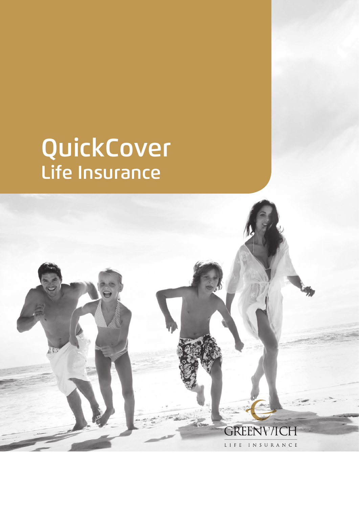# QuickCover Life Insurance

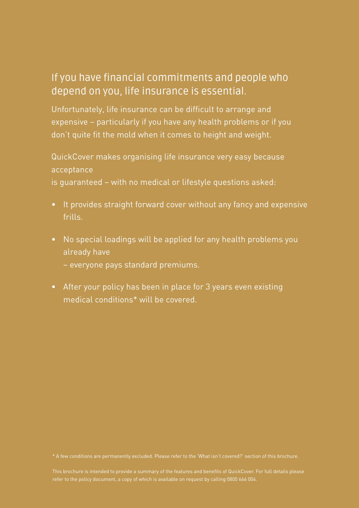## If you have financial commitments and people who depend on you, life insurance is essential.

Unfortunately, life insurance can be difficult to arrange and expensive – particularly if you have any health problems or if you don't quite fit the mold when it comes to height and weight.

QuickCover makes organising life insurance very easy because acceptance

is guaranteed – with no medical or lifestyle questions asked:

- It provides straight forward cover without any fancy and expensive frills.
- No special loadings will be applied for any health problems you already have
	- everyone pays standard premiums.
- After your policy has been in place for 3 years even existing medical conditions\* will be covered.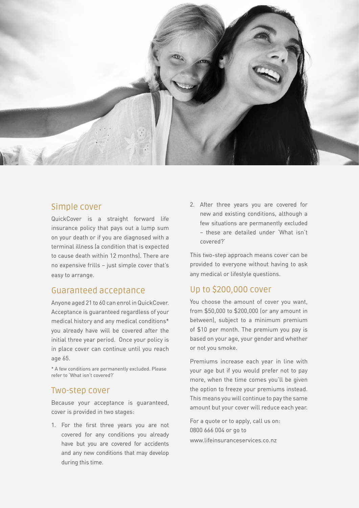

#### Simple cover

QuickCover is a straight forward life insurance policy that pays out a lump sum on your death or if you are diagnosed with a terminal illness (a condition that is expected to cause death within 12 months). There are no expensive frills – just simple cover that's easy to arrange.

#### Guaranteed acceptance

Anyone aged 21 to 60 can enrol in QuickCover. Acceptance is guaranteed regardless of your medical history and any medical conditions\* you already have will be covered after the initial three year period. Once your policy is in place cover can continue until you reach age 65.

\* A few conditions are permanently excluded. Please refer to 'What isn't covered?'

#### Two-step cover

Because your acceptance is guaranteed, cover is provided in two stages:

1. For the first three years you are not covered for any conditions you already have but you are covered for accidents and any new conditions that may develop during this time.

2. After three years you are covered for new and existing conditions, although a few situations are permanently excluded – these are detailed under 'What isn't covered?'

This two-step approach means cover can be provided to everyone without having to ask any medical or lifestyle questions.

## Up to \$200,000 cover

You choose the amount of cover you want, from \$50,000 to \$200,000 (or any amount in between), subject to a minimum premium of \$10 per month. The premium you pay is based on your age, your gender and whether or not you smoke.

Premiums increase each year in line with your age but if you would prefer not to pay more, when the time comes you'll be given the option to freeze your premiums instead. This means you will continue to pay the same amount but your cover will reduce each year.

For a quote or to apply, call us on: 0800 666 004 or go to www.lifeinsuranceservices.co.nz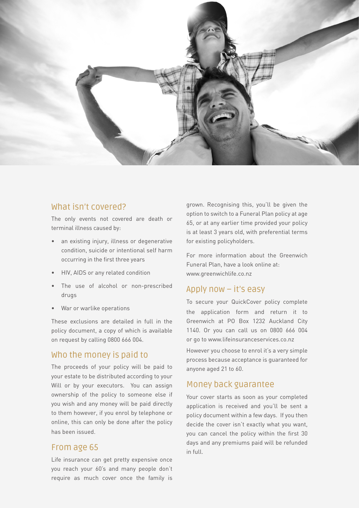

#### What isn't covered?

The only events not covered are death or terminal illness caused by:

- an existing injury, illness or degenerative condition, suicide or intentional self harm occurring in the first three years
- HIV, AIDS or any related condition
- The use of alcohol or non-prescribed drugs
- War or warlike operations

These exclusions are detailed in full in the policy document, a copy of which is available on request by calling 0800 666 004.

#### Who the money is paid to

The proceeds of your policy will be paid to your estate to be distributed according to your Will or by your executors. You can assign ownership of the policy to someone else if you wish and any money will be paid directly to them however, if you enrol by telephone or online, this can only be done after the policy has been issued.

#### From age 65

Life insurance can get pretty expensive once you reach your 60's and many people don't require as much cover once the family is

grown. Recognising this, you'll be given the option to switch to a Funeral Plan policy at age 65, or at any earlier time provided your policy is at least 3 years old, with preferential terms for existing policyholders.

For more information about the Greenwich Funeral Plan, have a look online at: www.greenwichlife.co.nz

#### Apply now – it's easy

To secure your QuickCover policy complete the application form and return it to Greenwich at PO Box 1232 Auckland City 1140. Or you can call us on 0800 666 004 or go to www.lifeinsuranceservices.co.nz

However you choose to enrol it's a very simple process because acceptance is guaranteed for anyone aged 21 to 60.

## Money back guarantee

Your cover starts as soon as your completed application is received and you'll be sent a policy document within a few days. If you then decide the cover isn't exactly what you want, you can cancel the policy within the first 30 days and any premiums paid will be refunded in full.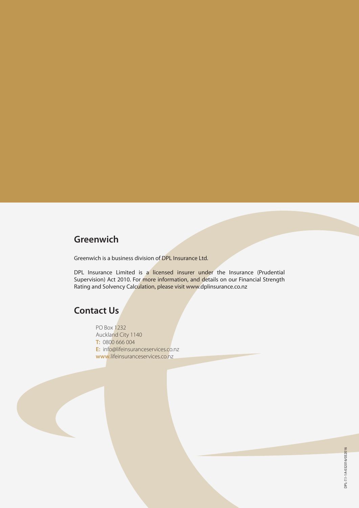## **Greenwich**

Greenwich is a business division of DPL Insurance Ltd.

DPL Insurance Limited is a licensed insurer under the Insurance (Prudential Supervision) Act 2010. For more information, and details on our Financial Strength Rating and Solvency Calculation, please visit www.dplinsurance.co.nz

## **Contact Us**

PO Box 1232 Auckland City 1140 **T:** 0800 666 004 **E:** info@lifeinsuranceservices.co.nz **www.**lifeinsuranceservices.co.nz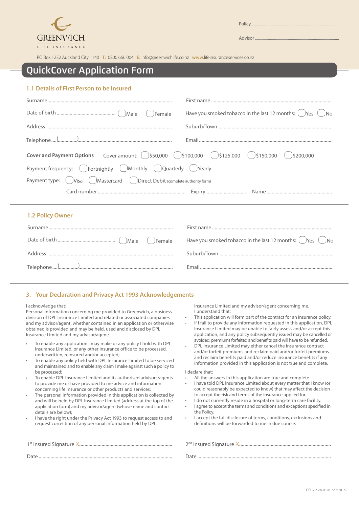

**Advisor** 

PO Box 1232 Auckland City 1140 **T:** 0800 666 004 **E:** info@greenwichlife.co.nz **www.**lifeinsuranceservices.co.nz

## QuickCover Application Form

#### **1.1 Details of First Person to be Insured**

| Female                                                                                                         | Have you smoked tobacco in the last 12 months: $($ $)$ Yes $($ $)$ No |  |  |  |
|----------------------------------------------------------------------------------------------------------------|-----------------------------------------------------------------------|--|--|--|
|                                                                                                                |                                                                       |  |  |  |
|                                                                                                                |                                                                       |  |  |  |
| <b>Cover and Payment Options</b> Cover amount: ( )\$50,000 ( )\$100,000 ( )\$125,000 ( )\$150,000 ( )\$200,000 |                                                                       |  |  |  |
| Payment frequency: ( )Fortnightly ( )Monthly ( )Quarterly ( )Yearly                                            |                                                                       |  |  |  |
| Payment type: ( )Visa ( )Mastercard ( )Direct Debit (complete authority form)                                  |                                                                       |  |  |  |
|                                                                                                                |                                                                       |  |  |  |

#### **1.2 Policy Owner**

| $\cdots$ $\cdots$ $\cdots$ $\cdots$ $\cdots$ |  |  |  |
|----------------------------------------------|--|--|--|
|                                              |  |  |  |
|                                              |  |  |  |
|                                              |  |  |  |
|                                              |  |  |  |

#### **3. Your Declaration and Privacy Act 1993 Acknowledgements**

#### I acknowledge that:

Personal information concerning me provided to Greenwich, a business division of DPL Insurance Limited and related or associated companies and my advisor/agent, whether contained in an application or otherwise obtained is provided and may be held, used and disclosed by DPL Insurance Limited and my advisor/agent:

- To enable any application I may make or any policy I hold with DPL Insurance Limited, or any other insurance office to be processed, underwritten, reinsured and/or accepted;
- To enable any policy held with DPL Insurance Limited to be serviced and maintained and to enable any claim I make against such a policy to be processed;
- To enable DPL Insurance Limited and its authorised advisors/agents to provide me or have provided to me advice and information concerning life insurance or other products and services;
- The personal information provided in this application is collected by and will be held by DPL Insurance Limited (address at the top of the application form) and my advisor/agent (whose name and contact details are below);
- I have the right under the Privacy Act 1993 to request access to and request correction of any personal information held by DPL

Insurance Limited and my advisor/agent concerning me. I understand that:

- This application will form part of the contract for an insurance policy.
- If I fail to provide any information requested in this application, DPL Insurance Limited may be unable to fairly assess and/or accept this application, and any policy subsequently issued may be cancelled or avoided, premiums forfeited and benefits paid will have to be refunded.
- DPL Insurance Limited may either cancel the insurance contract and/or forfeit premiums and reclaim paid and/or forfeit premiums and reclaim benefits paid and/or reduce insurance benefits if any information provided in this application is not true and complete.

#### I declare that:

- All the answers in this application are true and complete.
- I have told DPL Insurance Limited about every matter that I know (or could reasonably be expected to know) that may affect the decision to accept the risk and terms of the insurance applied for.
- I do not currently reside in a hospital or long-term care facility. I agree to accept the terms and conditions and exceptions specified in the Policy.
- I accept the full disclosure of terms, conditions, exclusions and definitions will be forwarded to me in due course.